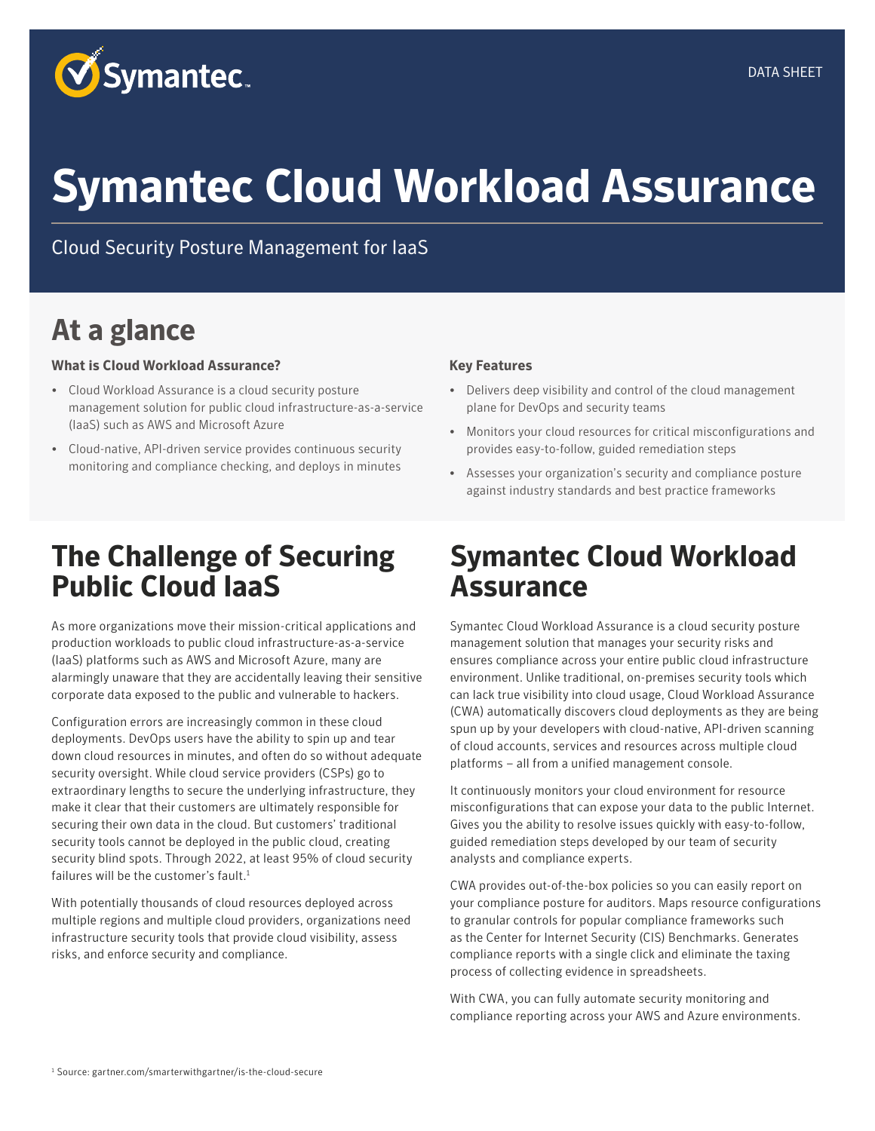

# **Symantec Cloud Workload Assurance**

Cloud Security Posture Management for IaaS

#### **At a glance**

#### **Solution Overview**

- Cloud Workload Assurance is a cloud security posture management solution for public cloud infrastructure-as-a-service (IaaS) platforms, including AWS and Microsoft Azure
- Cloud-native, API-driven service provides continuous security monitoring and compliance checking; deploys in minutes

#### **Key Features**

- Delivers deep visibility and control of the cloud management plane for Security and DevOps teams
- Monitors your cloud resources for critical misconfigurations and provides easy-to-follow, guided remediation steps
- Assesses your organization's security and compliance posture against best practice frameworks such as CIS Benchmarks

#### **The Challenge of Securing Public Cloud IaaS**

As more organizations move their mission-critical applications and production workloads to public cloud infrastructure-as-a-service (IaaS) platforms - such as AWS, Microsoft Azure and Google Cloud Platform - many are alarmingly unaware that they are accidentally leaving their sensitive corporate data exposed to the public and vulnerable to hackers.

Configuration errors are increasingly common in these cloud deployments. DevOps users have the ability to spin up and tear down cloud resources in minutes, and often do so without adequate security oversight. While cloud service providers go to extraordinary lengths to secure the underlying infrastructure, they make it clear that their customers are ultimately responsible for securing their own data in the cloud. But customers' traditional security tools cannot be deployed in the public cloud, creating security blind spots. Through 2022, at least 95% of cloud security failures will be the customer's fault according to Gartner. 1

With potentially thousands of cloud resources deployed across multiple regions and multiple cloud providers, organizations need infrastructure security tools that provide cloud visibility, assess risks, and enforce security and compliance policies.

#### **Symantec Cloud Workload Assurance**

Symantec Cloud Workload Assurance is a cloud security posture management (CSPM) solution that manages your security risks and ensures compliance across your entire public cloud infrastructure environment. Unlike traditional, on-premises security tools which can lack true visibility into cloud usage, Cloud Workload Assurance (CWA) automatically discovers cloud deployments as they are being spun up by your developers with cloud-native, API-driven scanning of cloud accounts, services and resources across multiple cloud platforms – all from a unified management console.

It continuously monitors your cloud environment for resource misconfigurations that can expose your data to the public Internet. Gives you the ability to resolve issues quickly with easy-to-follow, guided remediation steps developed by our team of security analysts and compliance experts.

CWA provides out-of-the-box policies so you can easily report on your compliance posture for auditors. Maps resource configurations to granular controls for popular compliance frameworks such as the Center for Internet Security (CIS) Benchmarks. Generates compliance reports with a single click and eliminate the taxing process of collecting evidence in spreadsheets.

With CWA, you can fully automate security monitoring and compliance reporting across your AWS and Azure environments.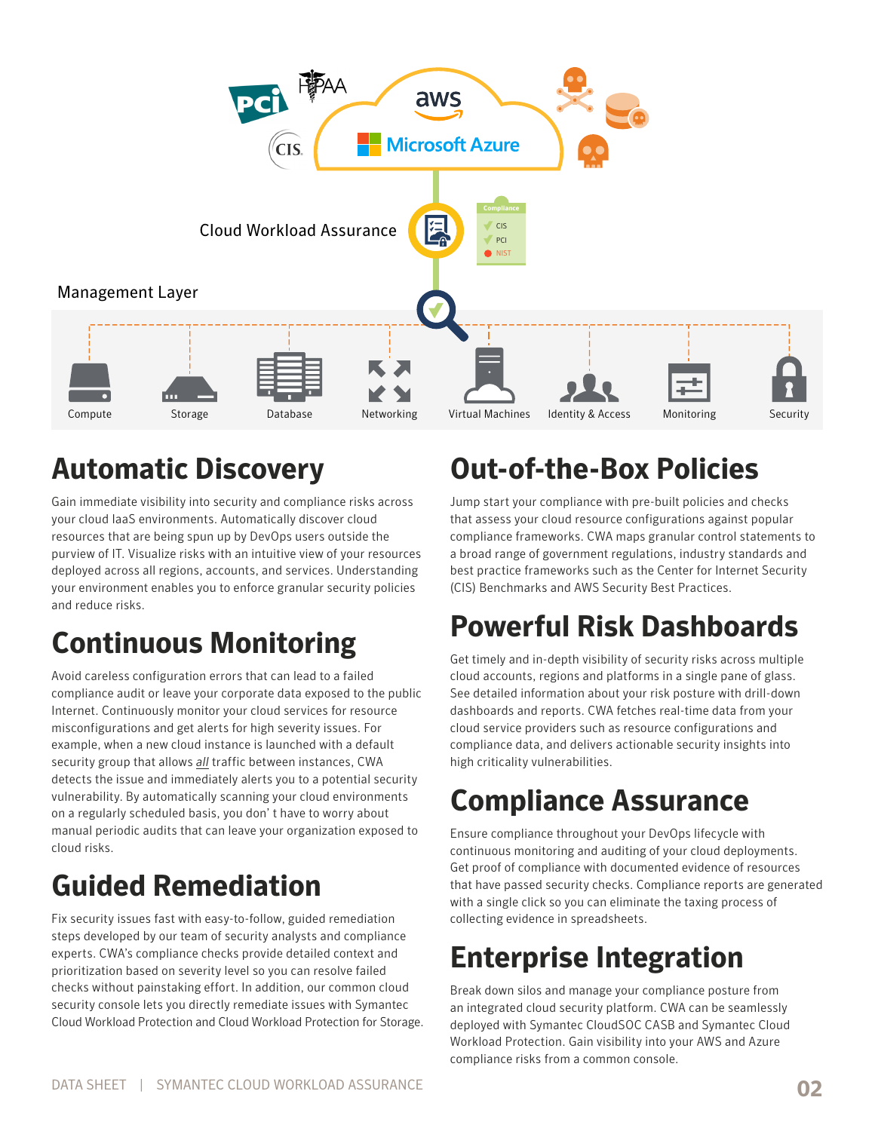

#### **Automatic Discovery**

Gain immediate visibility into security and compliance risks across your cloud IaaS environments. Automatically discover cloud resources that are being spun up by DevOps users outside the purview of IT. Visualize risks with an intuitive view of your resources deployed across all regions, accounts, and services. Understanding your environment enables you to enforce granular security policies and reduce risks.

# **Continuous Monitoring**

Avoid careless configuration errors that can lead to a failed compliance audit or leave your corporate data exposed to the public Internet. Continuously monitor your cloud services for resource misconfigurations and get alerts for high severity issues. For example, when a new cloud instance is launched with a default security group that allows *all* traffic between instances, CWA detects the issue and immediately alerts you to a potential security vulnerability. By automatically scanning your cloud environments on a regularly scheduled basis, you don' t have to worry about manual periodic audits that can leave your organization exposed to cloud risks.

# **Guided Remediation**

Fix security issues fast with easy-to-follow, guided remediation steps developed by our team of security analysts and compliance experts. CWA's compliance checks provide detailed context and prioritization based on severity level so you can resolve failed checks without painstaking effort. In addition, our common cloud security console lets you directly remediate issues with Symantec Cloud Workload Protection and Cloud Workload Protection for Storage.

### **Out-of-the-Box Policies**

Jump start your compliance with pre-built policies and checks that assess your cloud resource configurations against popular compliance frameworks. CWA maps granular control statements to a broad range of government regulations, industry standards and best practice frameworks such as the Center for Internet Security (CIS) Benchmarks and AWS Security Best Practices.

## **Powerful Risk Dashboards**

Get timely and in-depth visibility of security risks across multiple cloud accounts, regions and platforms in a single pane of glass. See detailed information about your risk posture with drill-down dashboards and reports. CWA fetches real-time data from your cloud service providers such as resource configurations and compliance data, and delivers actionable security insights into high criticality vulnerabilities.

## **Compliance Assurance**

Ensure compliance throughout your DevOps lifecycle with continuous monitoring and auditing of your cloud deployments. Get proof of compliance with documented evidence of resources that have passed security checks. Compliance reports are generated with a single click so you can eliminate the taxing process of collecting evidence in spreadsheets.

# **Enterprise Integration**

Break down silos and manage your compliance posture from an integrated cloud security platform. CWA can be seamlessly deployed with Symantec CloudSOC CASB and Symantec Cloud Workload Protection. Gain visibility into your cloud compliance risks from a common console.